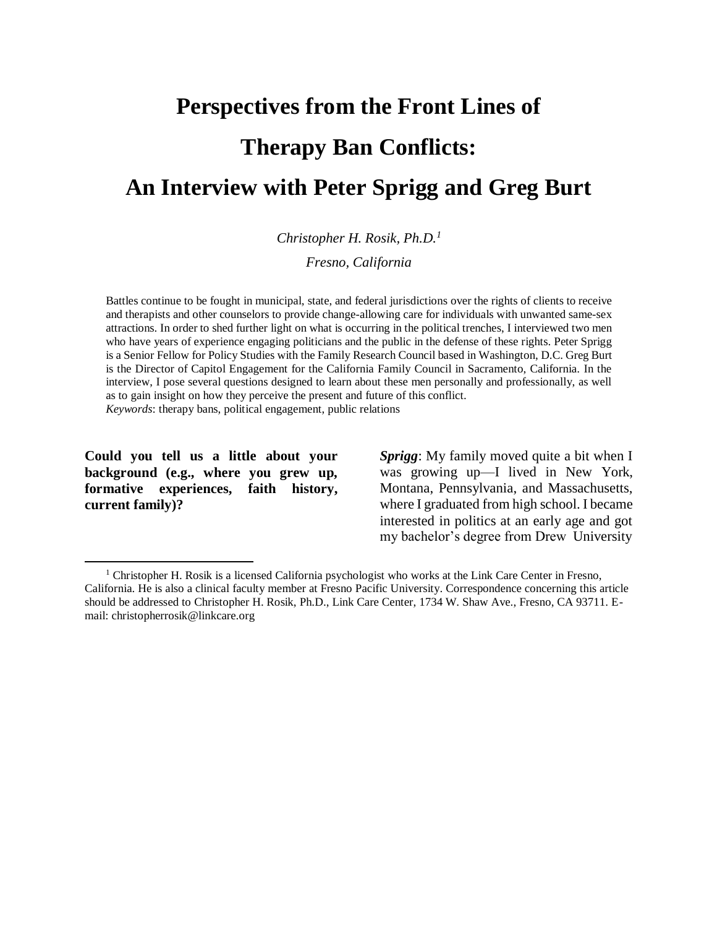# **Perspectives from the Front Lines of Therapy Ban Conflicts: An Interview with Peter Sprigg and Greg Burt**

*Christopher H. Rosik, Ph.D.<sup>1</sup>*

*Fresno, California*

Battles continue to be fought in municipal, state, and federal jurisdictions over the rights of clients to receive and therapists and other counselors to provide change-allowing care for individuals with unwanted same-sex attractions. In order to shed further light on what is occurring in the politicaltrenches, I interviewed two men who have years of experience engaging politicians and the public in the defense of these rights. Peter Sprigg is a Senior Fellow for Policy Studies with the Family Research Council based in Washington, D.C. Greg Burt is the Director of Capitol Engagement for the California Family Council in Sacramento, California. In the interview, I pose several questions designed to learn about these men personally and professionally, as well as to gain insight on how they perceive the present and future of this conflict.

*Keywords*: therapy bans, political engagement, public relations

**Could you tell us a little about your background (e.g., where you grew up, formative experiences, faith history, current family)?**

*Sprigg*: My family moved quite a bit when I was growing up—I lived in New York, Montana, Pennsylvania, and Massachusetts, where I graduated from high school. I became interested in politics at an early age and got my bachelor's degree from Drew University

 $1$  Christopher H. Rosik is a licensed California psychologist who works at the Link Care Center in Fresno, California. He is also a clinical faculty member at Fresno Pacific University. Correspondence concerning this article should be addressed to Christopher H. Rosik, Ph.D., Link Care Center, 1734 W. Shaw Ave., Fresno, CA 93711. Email: [christopherrosik@linkcare.org](mailto:christopherrosik@linkcare.org)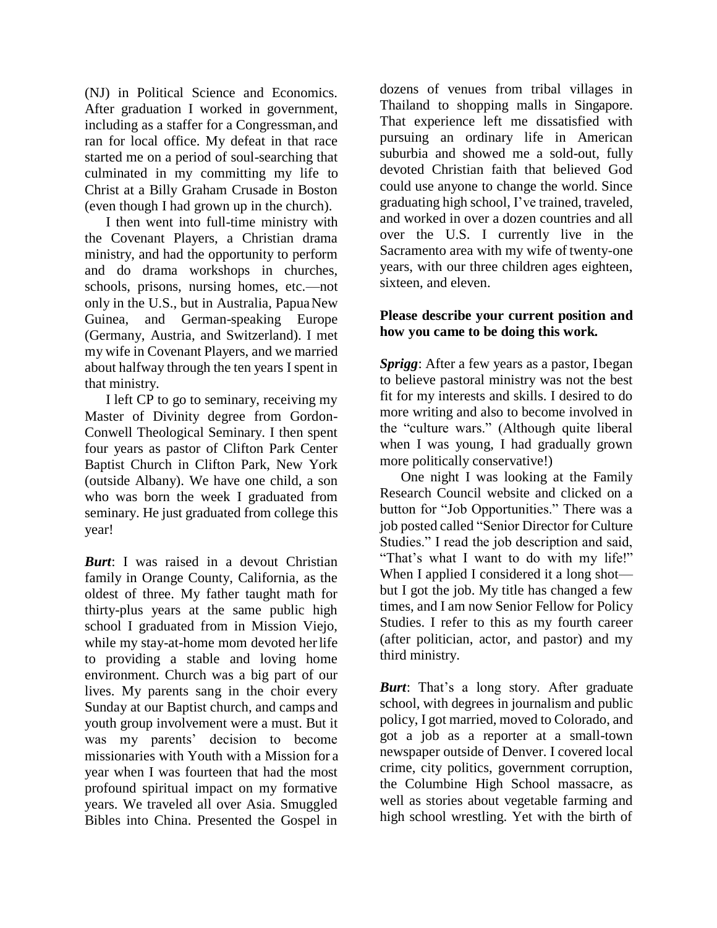(NJ) in Political Science and Economics. After graduation I worked in government, including as a staffer for a Congressman, and ran for local office. My defeat in that race started me on a period of soul-searching that culminated in my committing my life to Christ at a Billy Graham Crusade in Boston (even though I had grown up in the church).

I then went into full-time ministry with the Covenant Players, a Christian drama ministry, and had the opportunity to perform and do drama workshops in churches, schools, prisons, nursing homes, etc.—not only in the U.S., but in Australia, PapuaNew Guinea, and German-speaking Europe (Germany, Austria, and Switzerland). I met my wife in Covenant Players, and we married about halfway through the ten years I spent in that ministry.

I left CP to go to seminary, receiving my Master of Divinity degree from Gordon-Conwell Theological Seminary. I then spent four years as pastor of Clifton Park Center Baptist Church in Clifton Park, New York (outside Albany). We have one child, a son who was born the week I graduated from seminary. He just graduated from college this year!

*Burt*: I was raised in a devout Christian family in Orange County, California, as the oldest of three. My father taught math for thirty-plus years at the same public high school I graduated from in Mission Viejo, while my stay-at-home mom devoted herlife to providing a stable and loving home environment. Church was a big part of our lives. My parents sang in the choir every Sunday at our Baptist church, and camps and youth group involvement were a must. But it was my parents' decision to become missionaries with Youth with a Mission for a year when I was fourteen that had the most profound spiritual impact on my formative years. We traveled all over Asia. Smuggled Bibles into China. Presented the Gospel in

dozens of venues from tribal villages in Thailand to shopping malls in Singapore. That experience left me dissatisfied with pursuing an ordinary life in American suburbia and showed me a sold-out, fully devoted Christian faith that believed God could use anyone to change the world. Since graduating high school, I've trained, traveled, and worked in over a dozen countries and all over the U.S. I currently live in the Sacramento area with my wife of twenty-one years, with our three children ages eighteen, sixteen, and eleven.

# **Please describe your current position and how you came to be doing this work.**

*Sprigg*: After a few years as a pastor, Ibegan to believe pastoral ministry was not the best fit for my interests and skills. I desired to do more writing and also to become involved in the "culture wars." (Although quite liberal when I was young, I had gradually grown more politically conservative!)

One night I was looking at the Family Research Council website and clicked on a button for "Job Opportunities." There was a job posted called "Senior Director for Culture Studies." I read the job description and said, "That's what I want to do with my life!" When I applied I considered it a long shot but I got the job. My title has changed a few times, and I am now Senior Fellow for Policy Studies. I refer to this as my fourth career (after politician, actor, and pastor) and my third ministry.

*Burt*: That's a long story. After graduate school, with degrees in journalism and public policy, I got married, moved to Colorado, and got a job as a reporter at a small-town newspaper outside of Denver. I covered local crime, city politics, government corruption, the Columbine High School massacre, as well as stories about vegetable farming and high school wrestling. Yet with the birth of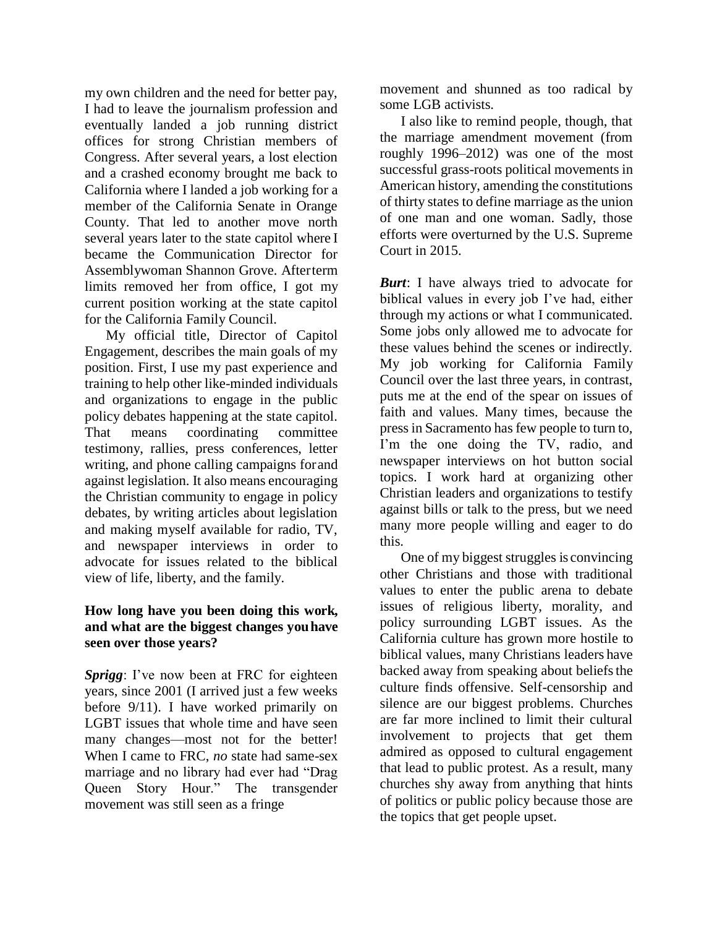my own children and the need for better pay, I had to leave the journalism profession and eventually landed a job running district offices for strong Christian members of Congress. After several years, a lost election and a crashed economy brought me back to California where I landed a job working for a member of the California Senate in Orange County. That led to another move north several years later to the state capitol where I became the Communication Director for Assemblywoman Shannon Grove. Afterterm limits removed her from office, I got my current position working at the state capitol for the California Family Council.

My official title, Director of Capitol Engagement, describes the main goals of my position. First, I use my past experience and training to help other like-minded individuals and organizations to engage in the public policy debates happening at the state capitol. That means coordinating committee testimony, rallies, press conferences, letter writing, and phone calling campaigns forand against legislation. It also means encouraging the Christian community to engage in policy debates, by writing articles about legislation and making myself available for radio, TV, and newspaper interviews in order to advocate for issues related to the biblical view of life, liberty, and the family.

#### **How long have you been doing this work, and what are the biggest changes youhave seen over those years?**

*Sprigg*: I've now been at FRC for eighteen years, since 2001 (I arrived just a few weeks before 9/11). I have worked primarily on LGBT issues that whole time and have seen many changes—most not for the better! When I came to FRC, *no* state had same-sex marriage and no library had ever had "Drag Queen Story Hour." The transgender movement was still seen as a fringe

movement and shunned as too radical by some LGB activists.

I also like to remind people, though, that the marriage amendment movement (from roughly 1996–2012) was one of the most successful grass-roots political movements in American history, amending the constitutions of thirty states to define marriage asthe union of one man and one woman. Sadly, those efforts were overturned by the U.S. Supreme Court in 2015.

*Burt*: I have always tried to advocate for biblical values in every job I've had, either through my actions or what I communicated. Some jobs only allowed me to advocate for these values behind the scenes or indirectly. My job working for California Family Council over the last three years, in contrast, puts me at the end of the spear on issues of faith and values. Many times, because the press in Sacramento has few people to turn to, I'm the one doing the TV, radio, and newspaper interviews on hot button social topics. I work hard at organizing other Christian leaders and organizations to testify against bills or talk to the press, but we need many more people willing and eager to do this.

One of my biggest struggles is convincing other Christians and those with traditional values to enter the public arena to debate issues of religious liberty, morality, and policy surrounding LGBT issues. As the California culture has grown more hostile to biblical values, many Christians leaders have backed away from speaking about beliefsthe culture finds offensive. Self-censorship and silence are our biggest problems. Churches are far more inclined to limit their cultural involvement to projects that get them admired as opposed to cultural engagement that lead to public protest. As a result, many churches shy away from anything that hints of politics or public policy because those are the topics that get people upset.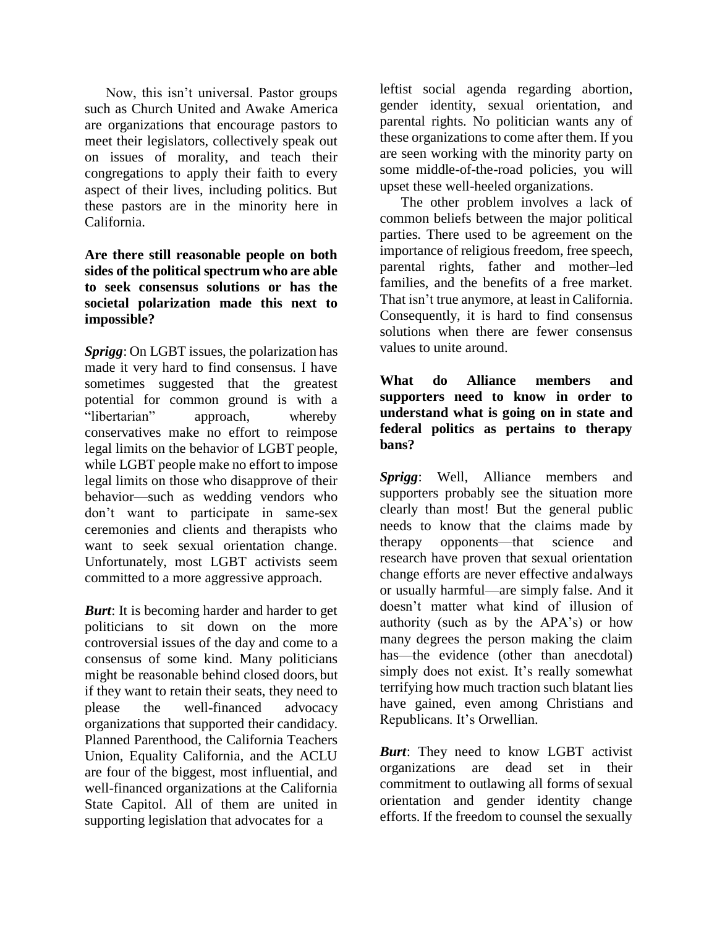Now, this isn't universal. Pastor groups such as Church United and Awake America are organizations that encourage pastors to meet their legislators, collectively speak out on issues of morality, and teach their congregations to apply their faith to every aspect of their lives, including politics. But these pastors are in the minority here in California.

# **Are there still reasonable people on both sides of the political spectrum who are able to seek consensus solutions or has the societal polarization made this next to impossible?**

*Sprigg*: On LGBT issues, the polarization has made it very hard to find consensus. I have sometimes suggested that the greatest potential for common ground is with a "libertarian" approach, whereby conservatives make no effort to reimpose legal limits on the behavior of LGBT people, while LGBT people make no effort to impose legal limits on those who disapprove of their behavior—such as wedding vendors who don't want to participate in same-sex ceremonies and clients and therapists who want to seek sexual orientation change. Unfortunately, most LGBT activists seem committed to a more aggressive approach.

*Burt*: It is becoming harder and harder to get politicians to sit down on the more controversial issues of the day and come to a consensus of some kind. Many politicians might be reasonable behind closed doors, but if they want to retain their seats, they need to please the well-financed advocacy organizations that supported their candidacy. Planned Parenthood, the California Teachers Union, Equality California, and the ACLU are four of the biggest, most influential, and well-financed organizations at the California State Capitol. All of them are united in supporting legislation that advocates for a

leftist social agenda regarding abortion, gender identity, sexual orientation, and parental rights. No politician wants any of these organizations to come after them. If you are seen working with the minority party on some middle-of-the-road policies, you will upset these well-heeled organizations.

The other problem involves a lack of common beliefs between the major political parties. There used to be agreement on the importance of religious freedom, free speech, parental rights, father and mother–led families, and the benefits of a free market. That isn't true anymore, at least in California. Consequently, it is hard to find consensus solutions when there are fewer consensus values to unite around.

**What do Alliance members and supporters need to know in order to understand what is going on in state and federal politics as pertains to therapy bans?**

*Sprigg*: Well, Alliance members and supporters probably see the situation more clearly than most! But the general public needs to know that the claims made by therapy opponents—that science and research have proven that sexual orientation change efforts are never effective andalways or usually harmful—are simply false. And it doesn't matter what kind of illusion of authority (such as by the APA's) or how many degrees the person making the claim has—the evidence (other than anecdotal) simply does not exist. It's really somewhat terrifying how much traction such blatant lies have gained, even among Christians and Republicans. It's Orwellian.

*Burt*: They need to know LGBT activist organizations are dead set in their commitment to outlawing all forms of sexual orientation and gender identity change efforts. If the freedom to counsel the sexually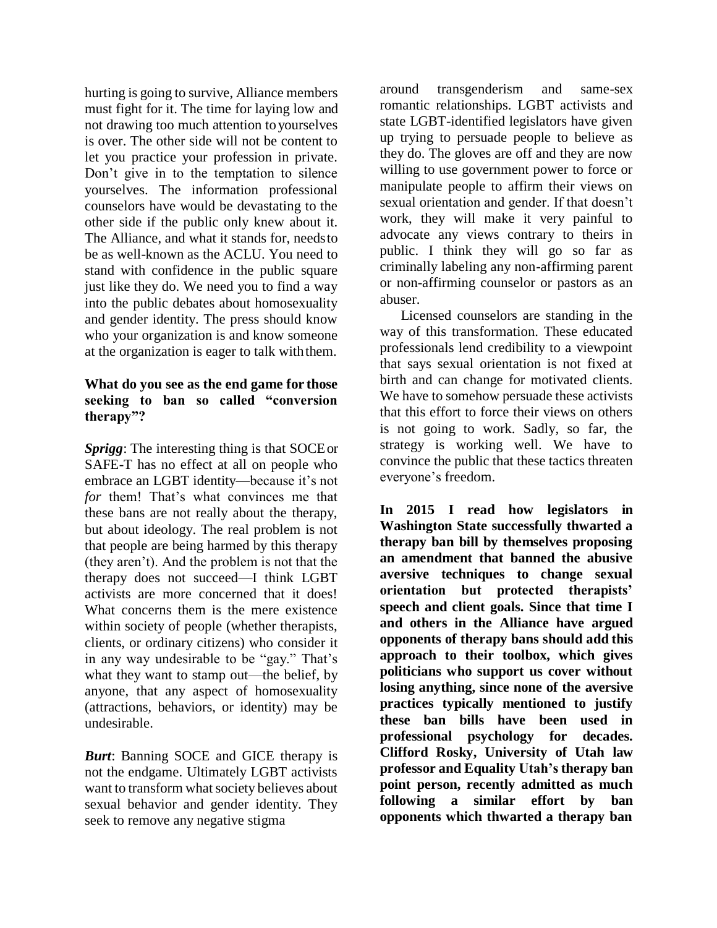hurting is going to survive, Alliance members must fight for it. The time for laying low and not drawing too much attention toyourselves is over. The other side will not be content to let you practice your profession in private. Don't give in to the temptation to silence yourselves. The information professional counselors have would be devastating to the other side if the public only knew about it. The Alliance, and what it stands for, needsto be as well-known as the ACLU. You need to stand with confidence in the public square just like they do. We need you to find a way into the public debates about homosexuality and gender identity. The press should know who your organization is and know someone at the organization is eager to talk withthem.

## **What do you see as the end game for those seeking to ban so called "conversion therapy"?**

*Sprigg*: The interesting thing is that SOCEor SAFE-T has no effect at all on people who embrace an LGBT identity—because it's not *for* them! That's what convinces me that these bans are not really about the therapy, but about ideology. The real problem is not that people are being harmed by this therapy (they aren't). And the problem is not that the therapy does not succeed—I think LGBT activists are more concerned that it does! What concerns them is the mere existence within society of people (whether therapists, clients, or ordinary citizens) who consider it in any way undesirable to be "gay." That's what they want to stamp out—the belief, by anyone, that any aspect of homosexuality (attractions, behaviors, or identity) may be undesirable.

*Burt*: Banning SOCE and GICE therapy is not the endgame. Ultimately LGBT activists want to transform what society believes about sexual behavior and gender identity. They seek to remove any negative stigma

around transgenderism and same-sex romantic relationships. LGBT activists and state LGBT-identified legislators have given up trying to persuade people to believe as they do. The gloves are off and they are now willing to use government power to force or manipulate people to affirm their views on sexual orientation and gender. If that doesn't work, they will make it very painful to advocate any views contrary to theirs in public. I think they will go so far as criminally labeling any non-affirming parent or non-affirming counselor or pastors as an abuser.

Licensed counselors are standing in the way of this transformation. These educated professionals lend credibility to a viewpoint that says sexual orientation is not fixed at birth and can change for motivated clients. We have to somehow persuade these activists that this effort to force their views on others is not going to work. Sadly, so far, the strategy is working well. We have to convince the public that these tactics threaten everyone's freedom.

**In 2015 I read how legislators in Washington State successfully thwarted a therapy ban bill by themselves proposing an amendment that banned the abusive aversive techniques to change sexual orientation but protected therapists' speech and client goals. Since that time I and others in the Alliance have argued opponents of therapy bans should add this approach to their toolbox, which gives politicians who support us cover without losing anything, since none of the aversive practices typically mentioned to justify these ban bills have been used in professional psychology for decades. Clifford Rosky, University of Utah law professor and Equality Utah's therapy ban point person, recently admitted as much following a similar effort by ban opponents which thwarted a therapy ban**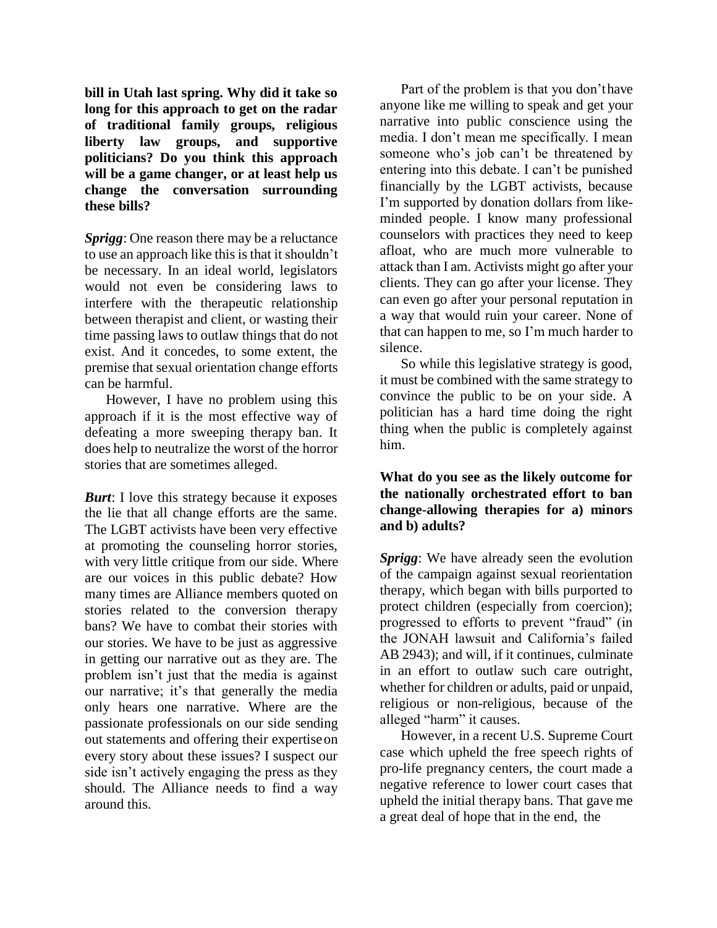**bill in Utah last spring. Why did it take so long for this approach to get on the radar of traditional family groups, religious liberty law groups, and supportive politicians? Do you think this approach will be a game changer, or at least help us change the conversation surrounding these bills?**

*Sprigg*: One reason there may be a reluctance to use an approach like this is that it shouldn't be necessary. In an ideal world, legislators would not even be considering laws to interfere with the therapeutic relationship between therapist and client, or wasting their time passing laws to outlaw things that do not exist. And it concedes, to some extent, the premise that sexual orientation change efforts can be harmful.

However, I have no problem using this approach if it is the most effective way of defeating a more sweeping therapy ban. It does help to neutralize the worst of the horror stories that are sometimes alleged.

*Burt*: I love this strategy because it exposes the lie that all change efforts are the same. The LGBT activists have been very effective at promoting the counseling horror stories, with very little critique from our side. Where are our voices in this public debate? How many times are Alliance members quoted on stories related to the conversion therapy bans? We have to combat their stories with our stories. We have to be just as aggressive in getting our narrative out as they are. The problem isn't just that the media is against our narrative; it's that generally the media only hears one narrative. Where are the passionate professionals on our side sending out statements and offering their expertiseon every story about these issues? I suspect our side isn't actively engaging the press as they should. The Alliance needs to find a way around this.

Part of the problem is that you don'thave anyone like me willing to speak and get your narrative into public conscience using the media. I don't mean me specifically. I mean someone who's job can't be threatened by entering into this debate. I can't be punished financially by the LGBT activists, because I'm supported by donation dollars from likeminded people. I know many professional counselors with practices they need to keep afloat, who are much more vulnerable to attack than I am. Activists might go after your clients. They can go after your license. They can even go after your personal reputation in a way that would ruin your career. None of that can happen to me, so I'm much harder to silence.

So while this legislative strategy is good, it must be combined with the same strategy to convince the public to be on your side. A politician has a hard time doing the right thing when the public is completely against him.

## **What do you see as the likely outcome for the nationally orchestrated effort to ban change-allowing therapies for a) minors and b) adults?**

*Sprigg*: We have already seen the evolution of the campaign against sexual reorientation therapy, which began with bills purported to protect children (especially from coercion); progressed to efforts to prevent "fraud" (in the JONAH lawsuit and California's failed AB 2943); and will, if it continues, culminate in an effort to outlaw such care outright, whether for children or adults, paid or unpaid, religious or non-religious, because of the alleged "harm" it causes.

However, in a recent U.S. Supreme Court case which upheld the free speech rights of pro-life pregnancy centers, the court made a negative reference to lower court cases that upheld the initial therapy bans. That gave me a great deal of hope that in the end, the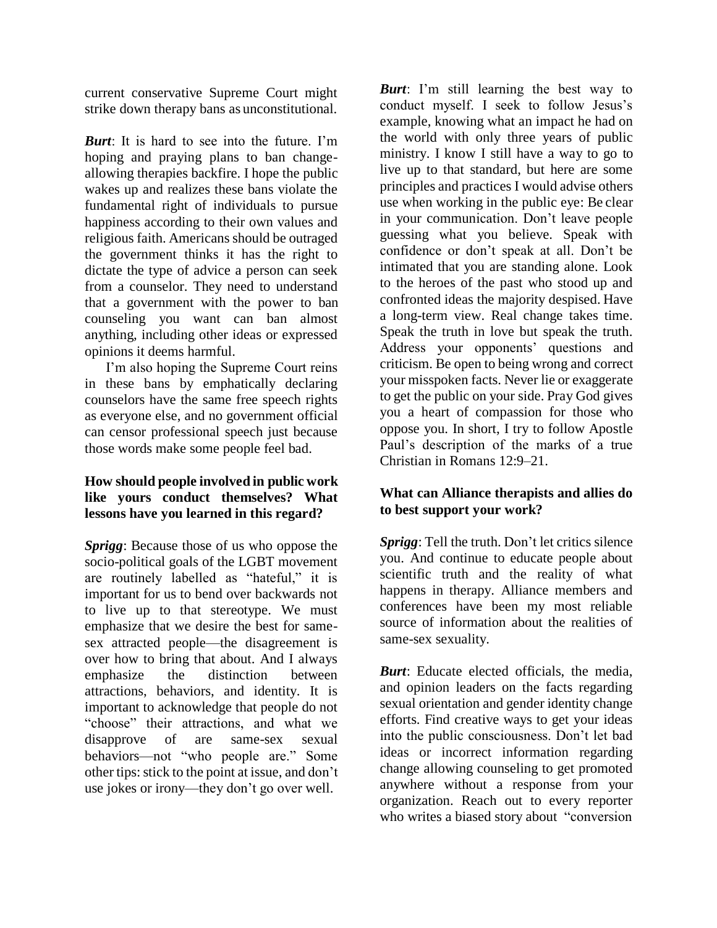current conservative Supreme Court might strike down therapy bans as unconstitutional.

*Burt*: It is hard to see into the future. I'm hoping and praying plans to ban changeallowing therapies backfire. I hope the public wakes up and realizes these bans violate the fundamental right of individuals to pursue happiness according to their own values and religious faith. Americans should be outraged the government thinks it has the right to dictate the type of advice a person can seek from a counselor. They need to understand that a government with the power to ban counseling you want can ban almost anything, including other ideas or expressed opinions it deems harmful.

I'm also hoping the Supreme Court reins in these bans by emphatically declaring counselors have the same free speech rights as everyone else, and no government official can censor professional speech just because those words make some people feel bad.

#### **How should people involved in public work like yours conduct themselves? What lessons have you learned in this regard?**

*Sprigg*: Because those of us who oppose the socio-political goals of the LGBT movement are routinely labelled as "hateful," it is important for us to bend over backwards not to live up to that stereotype. We must emphasize that we desire the best for samesex attracted people—the disagreement is over how to bring that about. And I always emphasize the distinction between attractions, behaviors, and identity. It is important to acknowledge that people do not "choose" their attractions, and what we disapprove of are same-sex sexual behaviors—not "who people are." Some other tips: stick to the point at issue, and don't use jokes or irony—they don't go over well.

*Burt*: I'm still learning the best way to conduct myself. I seek to follow Jesus's example, knowing what an impact he had on the world with only three years of public ministry. I know I still have a way to go to live up to that standard, but here are some principles and practices I would advise others use when working in the public eye: Be clear in your communication. Don't leave people guessing what you believe. Speak with confidence or don't speak at all. Don't be intimated that you are standing alone. Look to the heroes of the past who stood up and confronted ideas the majority despised. Have a long-term view. Real change takes time. Speak the truth in love but speak the truth. Address your opponents' questions and criticism. Be open to being wrong and correct your misspoken facts. Never lie or exaggerate to get the public on your side. Pray God gives you a heart of compassion for those who oppose you. In short, I try to follow Apostle Paul's description of the marks of a true Christian in Romans 12:9–21.

### **What can Alliance therapists and allies do to best support your work?**

*Sprigg*: Tell the truth. Don't let critics silence you. And continue to educate people about scientific truth and the reality of what happens in therapy. Alliance members and conferences have been my most reliable source of information about the realities of same-sex sexuality.

*Burt*: Educate elected officials, the media, and opinion leaders on the facts regarding sexual orientation and gender identity change efforts. Find creative ways to get your ideas into the public consciousness. Don't let bad ideas or incorrect information regarding change allowing counseling to get promoted anywhere without a response from your organization. Reach out to every reporter who writes a biased story about "conversion